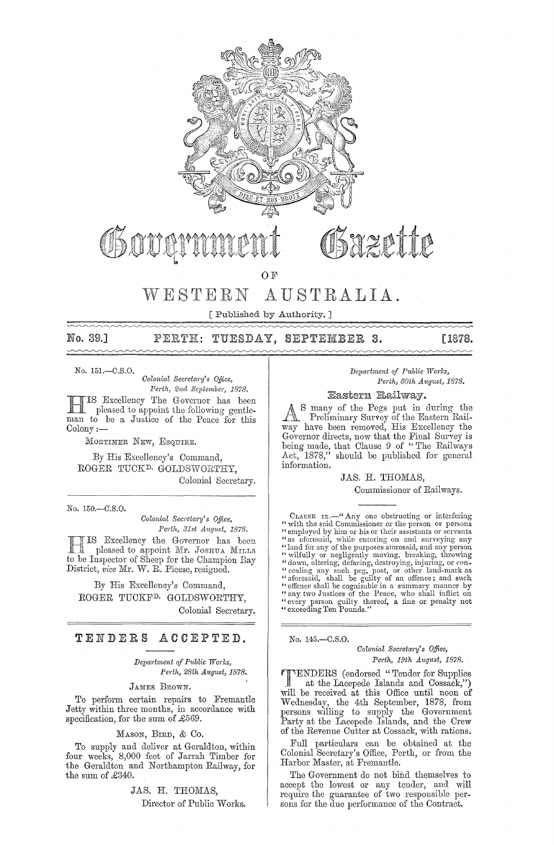

[Published by Authority. ]

 $\sim$   $\sim$   $\sim$   $\sim$   $\sim$ 

### No. 39.] PERTH: TUESDAY, SEPTEMBER 3. [1878.

 $\sim$ 

No. 151.-C.S.O.

*Oolonial Secretary's Office, Petth, 2ncl September, 1878.* 

IS Excellency The Governor has been<br>pleased to appoint the following gentleman to be a Justice of the Peace for this Colony:-

MORTIMER NEW, ESQUIRE.

By His Excellency's Command, ROGER TUCK<sup>D.</sup> GOLDSWORTHY, Colonial Secretary.

No. 150.-C.S.O.

*Colonial Secretary's Office, Perth, 31st A1(gust, 1878.* 

Excellency the Governor has been pleased to appoint Mr. JOSHUA MILLS to be Inspector of Sheep for the Champion Bay District, *vice* Mr. W. R. Piesse, resigned.

By His Excellency's Command, ROGER TUCKFD. GOLDSWORTHY, Colonial Secretary.

#### TENDERS ACCEPTED.

*Department of Public W01'ks,*  Perth, 28th August, 1878.

#### JAMES BROWN.

To perform certain repairs to Fremantle Jetty within three months, in accordance with specification, for the sum of £569.

MASON, BIRD, & Co.

To supply and deliver at Geraldton, within four weeks, 8,000 feet of Jarrah Timber for the Geraldton and Northampton Railway, for the sum of £340.

> JAS. H. THOMAS, Director of Public Works.

*Depa1'tment of Public Works, Pel'th, 30th A1,gust, 1878.* 

#### Eastern

As many of the Pegs put in during the Preliminary Survey of the Eastern Railway have been removed, His Excellency the Governor directs, now that the Final Survey is being made, that Clause 9 of "The Railways Act, 1878," should be published for general information.

#### JAS. H. THOMAS,

Commissioner of Railways.

CLAUSE IX. - "Any one obstructing or interfering " with the said Commissioner or the person or persons "employed by him or his or their assistants or servants<br>"as aforesaid, while entering on and surveying any<br>"land for any of the purposes aforesaid, and any person<br>"wilfully or negligently moving, breaking, throwing<br>"down, " offence shall be cognizable in a summary manner by " any two Justices of the Peace, who shall inflict on " every person guilty thereof, a fine or penalty not "every person guilty thereof, a fine or penalty not "exceeding Ten Pounds."

No. 145.-C.S.O.

 $Colonial$  Secretary's Office, *Perth, 19th August, 1878.* 

TENDERS (endorsed" Tender for Supplies at the Lacepede Islands and Cossack,") will be received at this Office until noon of Wednesday, the 4th September, 1878, from persons willing to supply the Government Party at the Lacepede Islands, and the Crew of the Revenue Cutter at Cossack, with rations.

Full particulars can be obtained at the Colonial Secretary's Office, Perth, or from the Harbor Master, at Fremantle.

The Government do not bind themselves to accept the lowest or any tender, and will require the guarantee of two responsible persons for the due performance of the Contract.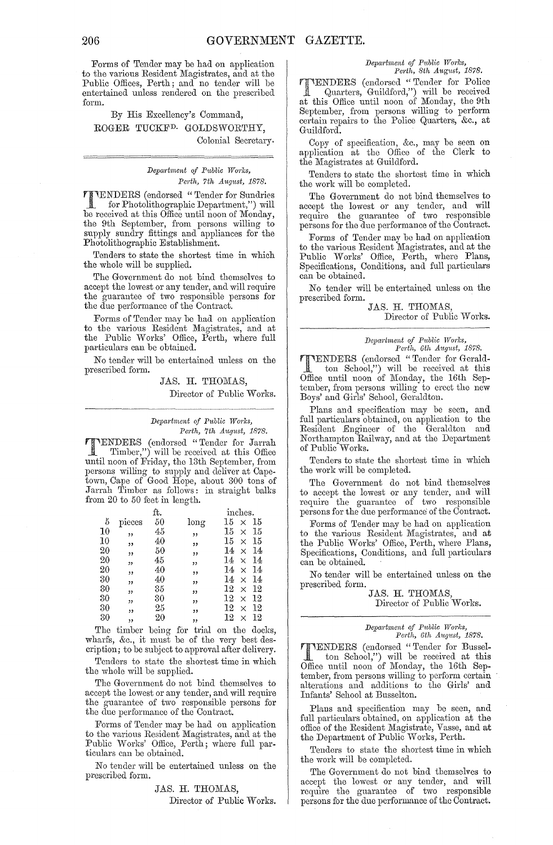Forms of Tender may be had on application to the various Resident Magistrates, and at the Public Offices, Perth; and no tender will be entertained unless rendered on the prescribed form.

By His Excellency's Command, ROGER TUCKFD. GOLDSWORTHY, Colonial Secretary.

#### *Depa?'tnwnt of Public Works,*  Perth, 7th August, 1878.

**THENDERS** (endorsed "Tender for Sundries be received at this Office until noon of Monday, the 9th September, from persons willing to supply sundry fittings and appliances for the Photolithographic Establishment.

Tenders to state the shortest time in which the whole will be supplied.

The Government do not bind themselves to accept the lowest or any tender, and will require the guarantee of two responsible persons for the due performance of the Contract.

Forms of Tender may be had on application to the various Resident Magistrates, and at the Public Works' Office, Perth, where full particulars can be obtained.

No tender will be entertained unless on the prescribed form.

JAS. H. THOMAS,

Director of Public Works.

#### $Department$  of Public Works, *Perth, 7th August, 1878.*

TENDERS (endorsed "Tender for Jarrah")<br>Timber.") will be received at this Office Timber,") will be received at this Office until noon of Friday, the 13th September, from persons willing to supply and deliver at Capetown, Cape of Good Hope, about 300 tons of Jarrah Timber as follows: in straight balks from 20 to 50 feet in length.

|    |        | ft. |        | inches.              |  |  |  |  |  |
|----|--------|-----|--------|----------------------|--|--|--|--|--|
| 5  | pieces | 50  | $\log$ | 15<br>15<br>$\times$ |  |  |  |  |  |
| 10 | ,,     | 45  | ,,     | 15<br>15<br>$\times$ |  |  |  |  |  |
| 10 | ,,     | 40  | ,,     | 15<br>15<br>$\times$ |  |  |  |  |  |
| 20 | ,,     | 50  | ,,     | 14<br>14<br>$\times$ |  |  |  |  |  |
| 20 | ,,     | 45  | ,,     | 14<br>14<br>$\times$ |  |  |  |  |  |
| 20 | ,,     | 40  | ,,     | 14<br>14<br>$\times$ |  |  |  |  |  |
| 30 | "      | 40  | ,,     | 14<br>14<br>$\times$ |  |  |  |  |  |
| 30 | ,,     | 35  | ,,     | 12<br>12<br>$\times$ |  |  |  |  |  |
| 30 | ,,     | 30  | ,,     | 12<br>12<br>$\times$ |  |  |  |  |  |
| 30 | "      | 25  | ,,     | 12<br>12<br>$\times$ |  |  |  |  |  |
| 30 | ,,     | 20  | ,,     | 12<br>12<br>$\times$ |  |  |  |  |  |

The timber being for trial on the docks, wharfs, &c., it must be of the very best description; to be subject to approval after delivery.

Tenders to state the shortest time in which the whole will be supplied.

The Government do not bind themselves to accept the lowest or any tender, and will require the guarantee of two responsible persons for the due performance of the Contract.

Forms of Tender may be had on application to the various Resident Magistrates, and at the Public Works' Office, Perth; where full particulars can be obtained.

No tender will be entertained unless on the prescribed form.

## JAS. H. THOMAS,

Director of Public Works.

# *Department of Public Works,*<br>Perth, 8th August, 1878.

**TIENDERS** (endorsed "Tender for Police<br>Quarters, Guildford,") will be received<br>at this Office until near of Monday, the 9th **TENDERS** (endorsed "Tender for Police<br>Quarters, Guildford,") will be received at this Office until noon of Monday, the 9th September, from persons willing to perform certain repairs to the Police Quarters, &c., at Guildford.

Copy of specification, &c., may be seen on application at the Office of the Clerk to the Magistrates at Guildford.

Tenders to state the shortest time in which the work will be completed.

The Government do not bind themselves to accept the lowest or any tender, and will require the guarantee of two responsible persons for the due performance of the Contract.

Forms of Tender may be had on application to the various Resident Magistrates, and at the Public Works' Office, Perth, where Plans, Specifications, Conditions, and full particulars can be obtained.

No tender will be entertained unless on the prescribed form.

JAS. H. THOMAS, Director of Public Works.

## *Department of Public Works, Perth, 6th August, 1878.*

**TENDERS** (endorsed "Tender for Gerald-<br>ton School,") will be received at this<br>Office until noon of Monday, the 16th Sep-Office until noon of Monday, the 16th September, from persons willing to erect the new Boys' and Girls' School, Geraldton.

Plans and specification may be seen, and full particulars obtained, on application to the Resident Engineer of the Geraldton and Northampton Railway, and at the Department of Public Works.

Tenders to state the shortest time in which the work will be completed.

The Government do not bind themselves to accept the lowest or any tender, and will require the guarantee of two responsible persons for the due performance' of the Oontract.

Forms of Tender may be had on application to the various Resident Magistrates, and at the Public Works' Office, Perth, where Plans, Specifications, Conditions, and full particulars can be obtained.

No tender will be entertained unless on the prescribed form.

JAB. H. THOMAS, Director of Public Works.

*Department of Public Works, Perth, 6th August, 1878.* 

TIENDERS (endorsed "Tender for Bussel-<br>ton School,") will be received at this<br>Office until neap of Monday the 16th Son Office until noon of Monday, the 16th September, from persons willing to perform certain alterations and additions to the Girls' and Infants' School at Busselton.

Plans and specification may be seen, and full particulars obtained, on application at the office of the Resident Magistrate, Vasse, and at the Department of Public Works, Perth.

Tenders to state the shortest time in which the work will be completed.

The Government do not bind themselves to accept the lowest or any tender, and will require the guarantee of two responsible persons for the due performance of the Contract.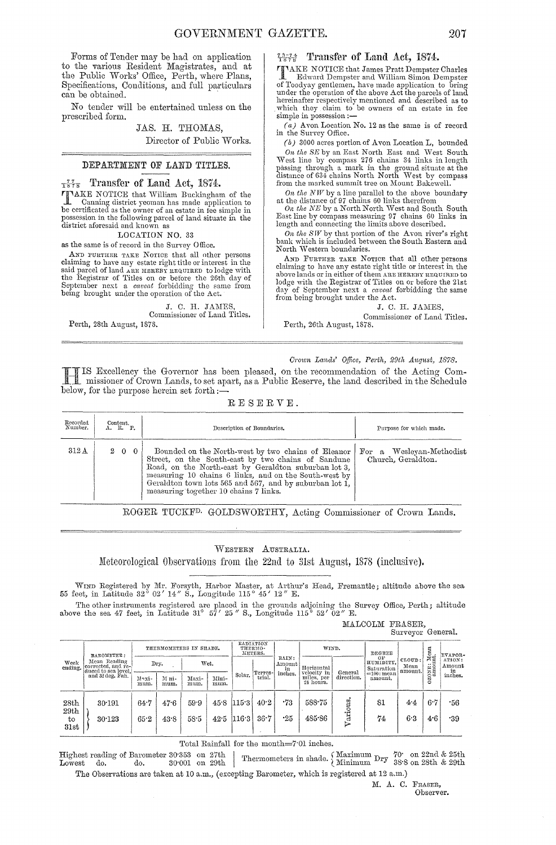Forms of Tender may be had on application to the various Resident Magistrates, and at the Public Works' Office, Perth, where Plans, Specifications, Conditions, and full particulars can be obtained.

No tender will be entertained unless on the prescribed form.

> JAS. H. THOMAS, Director of Public Works.

#### DEPARTMENT OF LAND TITLES.

 $\frac{77}{1878}$  Transfer of Land Act, 1874.

T NAKE NOTICE that William Buckingham of the Canning district yeoman has made application to be certificated as the owner of an estate in fee simple in possession in the following parcel of land situate in the district aforesaid and known as

#### LOCATION NO. 33

as the same is of record in the Survey Office.

AND FURTHER TAKE NOTICE that all other persons claiming to have any estate right title or interest in the said parcel of land ARE HEREBY REQUIRED to lodge with the Registrar of Titles on or before the 26th day of September next a *caveat* forbidding the same from being brought under the operation of the Act.

J. C. H. JAMES Commissioner of Land Titles. Perth, 28th August, 1878.

#### $\frac{73.74}{1878}$  Transfer of Land Act, 1874.

TAKE NOTICE that J ames Pratt Dempster Charles Edward Dempster and William Simon Dempster of Toodyay gentlemen. have made application to bring under the operation of the above Act the parcels of land hereinafter respectively mentioned and described as to ,which they claim to be owners of an estate in fee simple in possession :-

*(a)* Avon Location No. 12 as the same is of record in the Survey Office.

*(b)* 3000 acres portion of Avon Location L, bounded On the SE by an East North East and West South West line by compass 276 chains 34 links in length passing through a mark in the ground situate at the distance of 634 chains North North West by compass from the marked summit tree on Mount Bakewell.

*On the* NWby a line parallel to the above boundary at the distance of 97 chains 60 links therefrom

*On the* NE by a North North \Vest and South South East line by compass measuring 97 chains 60 links in length and connecting the limits above described.

*On the SW* by that portion of the Avon river's right bank which is included between the South Eastern and North Western boundaries.

AND FURTHER TAKE NOTICE that all other persons claiming to have any estate right title or interest in the above lands or in either of them ARE HEREBY REQUIRED to lodge with the Registrar of Titles on or before the 21st<br>day of September next a *caveat* forbidding the same from being brought under the Act.

J. C. H. JAMES,

Commissioner of Land Titles. Perth, 26th August, 1878.

#### *Crown Lands' Office, Perth, 29th August, 1878.*

IS Excellency the Governor has been pleased, on the recommendation of the Acting Com-<br>missioner of Crown Lands, to set apart, as a Public Reserve, the land described in the Schedule<br>helow for the numero bornin set forth a below, for the purpose herein set forth:-

#### RESERVE.

| Recorded<br>Number. | Content.<br>A. R. P. | Description of Boundaries.                                                                                                                                                                                                                                                                                                                               | Purpose for which made. |  |  |  |  |
|---------------------|----------------------|----------------------------------------------------------------------------------------------------------------------------------------------------------------------------------------------------------------------------------------------------------------------------------------------------------------------------------------------------------|-------------------------|--|--|--|--|
| $312\,\mathrm{A}$   | 2 0 0                | Bounded on the North-west by two chains of Eleanor   For a Wesleyan-Methodist<br>Street, on the South-east by two chains of Sandune<br>Road, on the North-east by Geraldton suburban lot 3,<br>measuring 10 chains 6 links, and on the South-west by<br>Geraldton town lots 565 and 567, and by suburban lot 1,<br>measuring together 10 chains 7 links. | Church, Geraldton.      |  |  |  |  |

ROGER TUOKFD. GOLDSWORTHY, Acting Oommissioner of Orown Lands.

#### WESTERN AUSTRALIA.

Meteorological Observations from the 22nd to 31st August, 1878 (inclusive).

WIND Registered by Mr. Forsyth, Harbor Master, at Arthur's Head, Fremantle; altitude above the sea 55 feet, in Latitude 32° 02' *14"* S., Longitude 115° 45' *12"* E.

The other instruments registered are placed in the grounds adjoining the Survey Office, Perth; altitude above the sea 47 feet, in Latitude 31° 57' 25" S., Longitude 115° 52' 02" E.

MALCOLM FRASER, Surveyor General.

| Week<br>ending.       | BAROMETER:                                                                    | THERMOMETERS IN SHADE. |               |               |               | RADIATION<br>THERMO-<br>METERS. |                   |                       | WIND.                                  |                       | DEGREE                        |                           | : Mean<br>uni. | EVAPOR-                |
|-----------------------|-------------------------------------------------------------------------------|------------------------|---------------|---------------|---------------|---------------------------------|-------------------|-----------------------|----------------------------------------|-----------------------|-------------------------------|---------------------------|----------------|------------------------|
|                       | Mean Reading<br>corrected, and re-<br>duced to sea level.<br>and 32 deg. Fah. | Dry.                   |               | Wet.          |               |                                 |                   | RAIN:<br>Amount<br>in | Horizontal                             |                       | OF<br>HUMIDITY,<br>Saturation | CLOUD:<br>Mean<br>amount. | CNE:           | ATION:<br>Amount<br>in |
|                       |                                                                               | Maxi-<br>mum.          | M ni-<br>mum. | Maxi-<br>mum. | Mini-<br>mum. | Solar.                          | Terres-<br>trial. | inches.               | velocity in<br>miles, per<br>24 hours. | General<br>direction. | $=100$ : mean<br>amount.      |                           | ă              | inches.                |
| $_{\rm 28th}$<br>29th | 30.191                                                                        | 64.7                   | 47.6          | 59.9          |               | $45.8$ 115.3                    | 40.2              | -73                   | 588.75                                 | ous.                  | 81                            | 4.4                       | 6.7            | .56                    |
| to<br>31st            | 30.123                                                                        | 65.2                   | 43.8          | 58.5          | 42.5          | 116.3                           | 36.7              | $-25$                 | 485.86                                 | .<br>a                | 74                            | 6.3                       | 4.6            | .39                    |

#### Total Rainfall for the month=7'01 inches.

Highest reading of Barometer 30°353 on 27th I Thermometers in shade. { Maximum Dry 70' on 22nd & 25th I Divest do.  $\,$  38°8 on 28th & 29th  $\,$ 

The Observations are taken at 10 a.m., (excepting Barometer, which is registered at 12 a.m.)